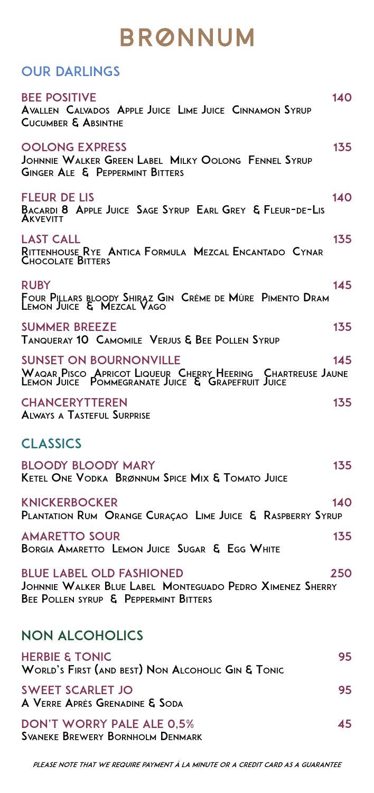## **BRØNNUM**

#### OUR DARLINGS

| <b>BEE POSITIVE</b><br>140<br><b>AVALLEN CALVADOS APPLE JUICE LIME JUICE CINNAMON SYRUP</b><br><b>CUCUMBER &amp; ABSINTHE</b>                                           |  |
|-------------------------------------------------------------------------------------------------------------------------------------------------------------------------|--|
| 135<br><b>OOLONG EXPRESS</b><br>JOHNNIE WALKER GREEN LABEL MILKY OOLONG FENNEL SYRUP<br>GINGER ALE & PEPPERMINT BITTERS                                                 |  |
| 140<br><b>FLEUR DE LIS</b><br>BACARDI 8 APPLE JUICE SAGE SYRUP EARL GREY & FLEUR-DE-LIS<br><b>AKVEVITT</b>                                                              |  |
| 135<br><b>LAST CALL</b><br>RITTENHOUSE RYE ANTICA FORMULA MEZCAL ENCANTADO CYNAR<br><b>CHOCOLATE BITTERS</b>                                                            |  |
| 145<br><b>RUBY</b><br>Four Pillars bloody Shiraz Gin  Crème de Mûre  Pimento Dram<br>Lemon Juice  &  Mezcal Vago                                                        |  |
| <b>SUMMER BREEZE</b><br>135<br><b>TANQUERAY 10 CAMOMILE VERJUS &amp; BEE POLLEN SYRUP</b>                                                                               |  |
| <b>SUNSET ON BOURNONVILLE</b><br>145<br>WAQAR PISCO APRICOT LIQUEUR CHERRY HEERING CHAR<br>LEMON JUICE POMMEGRANATE JUICE & GRAPEFRUIT JUICE<br><b>CHARTREUSE JAUNE</b> |  |
| <b>CHANCERYTTEREN</b><br>135<br><b>ALWAYS A TASTEFUL SURPRISE</b>                                                                                                       |  |
| <b>CLASSICS</b>                                                                                                                                                         |  |
| <b>BLOODY BLOODY MARY</b><br>135<br><b>KETEL ONE VODKA BRØNNUM SPICE MIX &amp; TOMATO JUICE</b>                                                                         |  |
| <b>KNICKERBOCKER</b><br>140<br>PLANTATION RUM ORANGE CURAÇAO LIME JUICE & RASPBERRY SYRUP                                                                               |  |
| <b>AMARETTO SOUR</b><br>135<br>BORGIA AMARETTO LEMON JUICE SUGAR & EGG WHITE                                                                                            |  |
| <b>BLUE LABEL OLD FASHIONED</b><br>250<br>JOHNNIE WALKER BLUE LABEL MONTEGUADO PEDRO XIMENEZ SHERRY<br>BEE POLLEN SYRUP & PEPPERMINT BITTERS                            |  |
| <b>NON ALCOHOLICS</b>                                                                                                                                                   |  |
| <b>HERBIE &amp; TONIC</b><br>95<br>WORLD'S FIRST (AND BEST) NON ALCOHOLIC GIN & TONIC                                                                                   |  |
| <b>SWEET SCARLET JO</b><br>95<br>A VERRE APRÈS GRENADINE & SODA                                                                                                         |  |
| <b>DON'T WORRY PALE ALE 0,5%</b><br>45<br><b>SVANEKE BREWERY BORNHOLM DENMARK</b>                                                                                       |  |

Please note that we require payment à la minute or a credit card as a guarantee